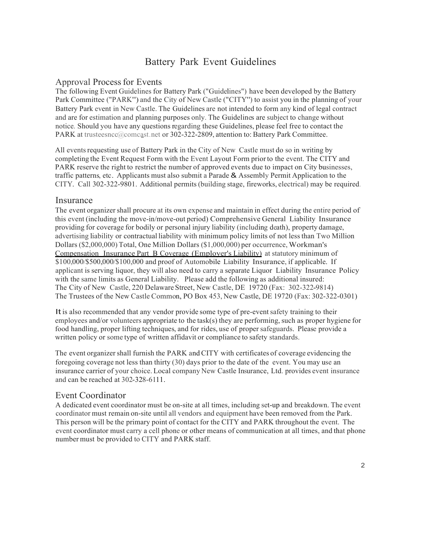# Battery Park Event Guidelines

## Approval Process for Events

The following Event Guidelines for Battery Park ("Guidelines") have been developed by the Battery Park Committee ("PARK") and the City of New Castle ("CITY") to assist you in the planning of your Battery Park event in New Castle. The Guidelines are not intended to form any kind of legal contract and are for estimation and planning purposes only. The Guidelines are subject to change without notice. Should you have any questions regarding these Guidelines, please feel free to contact the PARK at trusteesncc@comcast.net or 302-322-2809, attention to: Battery Park Committee.

All events requesting use of Battery Park in the City of New Castle must do so in writing by completing the Event Request Form with the Event Layout Form priorto the event. The CITY and PARK reserve the right to restrict the number of approved events due to impact on City businesses, traffic patterns, etc. Applicants must also submit <sup>a</sup> Parade & Assembly Permit Application to the CITY. Call 302-322-9801. Additional permits(building stage, fireworks, electrical) may be required.

## Insurance

The event organizer shall procure at its own expense and maintain in effect during the entire period of this event (including the move-in/move-out period) Comprehensive General Liability Insurance providing for coverage for bodily or personal injury liability (including death), property damage, advertising liability or contractual liability with minimum policy limits of not lessthan Two Million Dollars (\$2,000,000) Total, One Million Dollars (\$1,000,000) per occurrence,Workman's Compensation Insurance Part B Coverage (Employer's Liability) at statutory minimum of \$100,000/\$500,000/\$100,000 and proof of Automobile Liability Insurance, if applicable. If applicant is serving liquor, they will also need to carry a separate Liquor Liability Insurance Policy with the same limits as General Liability. Please add the following as additional insured: The City of New Castle, 220 Delaware Street, New Castle, DE 19720 (Fax: 302-322-9814) The Trustees of the New Castle Common, PO Box 453, New Castle,DE <sup>19720</sup> (Fax: 302-322-0301)

It is also recommended that any vendor provide some type of pre-eventsafety training to their employees and/or volunteers appropriate to the task(s) they are performing, such as proper hygiene for food handling, proper lifting techniques, and for rides, use of proper safeguards. Please provide a written policy or some type of written affidavit or compliance to safety standards.

The event organizershall furnish the PARK and CITY with certificates of coverage evidencing the foregoing coverage not less than thirty (30) days prior to the date of the event. You may use an insurance carrier of your choice. Local company New Castle Insurance, Ltd. provides event insurance and can be reached at 302-328-6111.

## Event Coordinator

A dedicated event coordinator must be on-site at all times, including set-up and breakdown. The event coordinator must remain on-site until all vendors and equipment have been removed from the Park. This person will be the primary point of contact for the CITY and PARK throughout the event. The event coordinator must carry a cell phone or other means of communication at all times, and that phone number must be provided to CITY and PARK staff.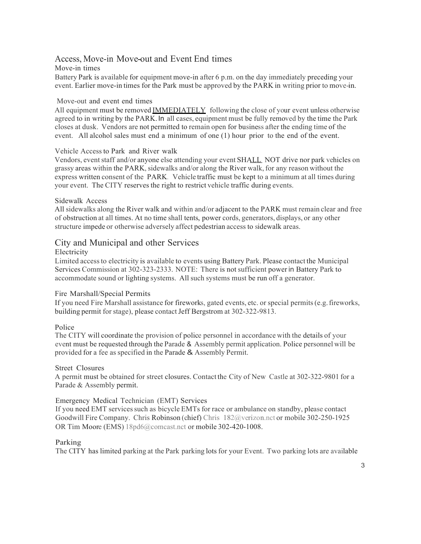## Access, Move-in Move-out and Event End times

#### Move-in times

Battery Park is available for equipment move-in after 6 p.m. on the day immediately preceding your event. Earlier move-in times for the Park must be approved by the PARK in writing prior to move-in.

#### Move-out and event end times

All equipment must be removed **IMMEDIATELY** following the close of your event unless otherwise agreed to in writing by the PARK. In all cases, equipment must be fully removed by the time the Park closes at dusk. Vendors are not permitted to remain open for business after the ending time of the event. All alcohol sales must end a minimum of one (1) hour prior to the end of the event.

#### Vehicle Access to Park and River walk

Vendors, event staff and/or anyone else attending your event SHALL NOT drive nor park vehicles on grassy areas within the PARK, sidewalks and/or along the River walk, for any reason without the express written consent of the PARK. Vehicle traffic must be kept to a minimum at all times during your event. The CITY reserves the right to restrict vehicle traffic during events.

#### Sidewalk Access

All sidewalks along the River walk and within and/or adjacent to the PARK must remain clear and free of obstruction at all times. At no time shall tents, power cords, generators, displays, or any other structure impede or otherwise adversely affect pedestrian access to sidewalk areas.

## City and Municipal and other Services

#### Electricity

Limited accessto electricity is available to events using Battery Park. Please contact the Municipal Services Commission at 302-323-2333. NOTE: There is not sufficient power in Battery Park to accommodate sound or lighting systems. All such systems must be run off a generator.

#### Fire Marshall/Special Permits

If you need Fire Marshall assistance for fireworks, gated events, etc. or special permits(e.g.fireworks, building permit for stage), please contactJeff Bergstrom at 302-322-9813.

#### Police

The CITY will coordinate the provision of police personnel in accordance with the details of your event must be requested through the Parade & Assembly permit application. Police personnel will be provided for a fee as specified in the Parade & Assembly Permit.

#### Street Closures

A permit must be obtained for street closures. Contact the City of New Castle at 302-322-9801 for a Parade & Assembly permit.

#### Emergency Medical Technician (EMT) Services

If you need EMT services such as bicycle EMTs for race or ambulance on standby, please contact Goodwill Fire Company. Chris Robinson (chief) Chris 182@verizon.nct or mobile 302-250-1925 OR Tim Moore (EMS) 18pd6@comcast.nct or mobile 302-420-1008.

#### Parking

The CITY has limited parking at the Park parking lots for your Event. Two parking lots are available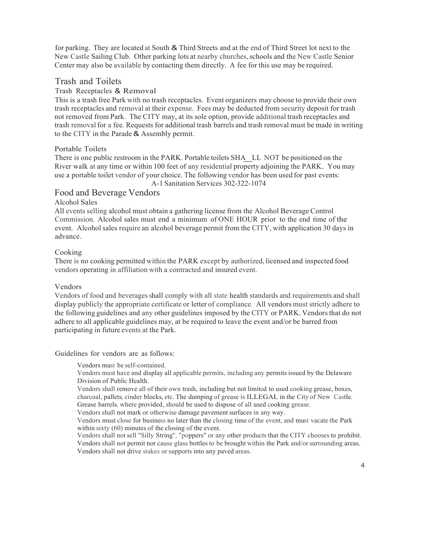for parking. They are located at South & Third Streets and at the end of Third Street lot next to the New Castle Sailing Club. Other parking lots at nearby churches, schools and the New Castle Senior Center may also be available by contacting them directly. A fee for this use may be required.

#### Trash and Toilets

#### Trash Receptacles & Removal

This is a trash free Park with no trash receptacles. Event organizers may choose to provide their own trash receptacles and removal at their expense. Fees may be deducted from security deposit for trash not removed from Park. The CITY may, at its sole option, provide additional trash receptacles and trash removal for a fee. Requests for additional trash barrels and trash removal must be made in writing to the CITY in the Parade& Assembly permit.

#### Portable Toilets

There is one public restroom in the PARK. Portable toilets SHA LL NOT be positioned on the River walk at any time or within <sup>100</sup> feet of any residential property adjoining the PARK. You may use a portable toilet vendor of your choice. The following vendor has been used for past events: A-1 Sanitation Services 302-322-1074

## Food and Beverage Vendors

#### Alcohol Sales

All events selling alcohol must obtain a gathering license from the Alcohol Beverage Control Commission. Alcohol sales must end a minimum of ONE HOUR prior to the end time of the event. Alcohol sales require an alcohol beverage permit from the CITY, with application 30 days in advance.

#### Cooking

There is no cooking permitted within the PARK except by authorized, licensed and inspected food vendors operating in affiliation with a contracted and insured event.

#### Vendors

Vendors of food and beverages shall comply with all state health standards and requirements and shall display publicly the appropriate certificate or letter of compliance. All vendors must strictly adhere to the following guidelines and any other guidelines imposed by the CITY or PARK. Vendors that do not adhere to all applicable guidelines may, at be required to leave the event and/or be barred from participating in future events at the Park.

Guidelines for vendors are as follows:

Vendors must be self-contained.

Vendors must have and display all applicable permits, including any permitsissued by the Delaware Division of Public Health.

Vendors shall remove all of their own trash, including but not limited to used cooking grease, boxes, charcoal, pallets, cinder blocks, etc. The dumping of grease is ILLEGAL in the City of New Castle. Grease barrels, where provided, should be used to dispose of all used cooking grease.

Vendors shall not mark or otherwise damage pavement surfaces in any way.

Vendors must close for business no later than the closing time of the event, and must vacate the Park within sixty (60) minutes of the closing of the event.

Vendors shall notsell "Silly String", "poppers" or any other products that the CITY chooses to prohibit. Vendors shall not permit nor cause glass bottles to be brought within the Park and/orsurrounding areas. Vendors shall not drive stakes or supports into any paved areas.